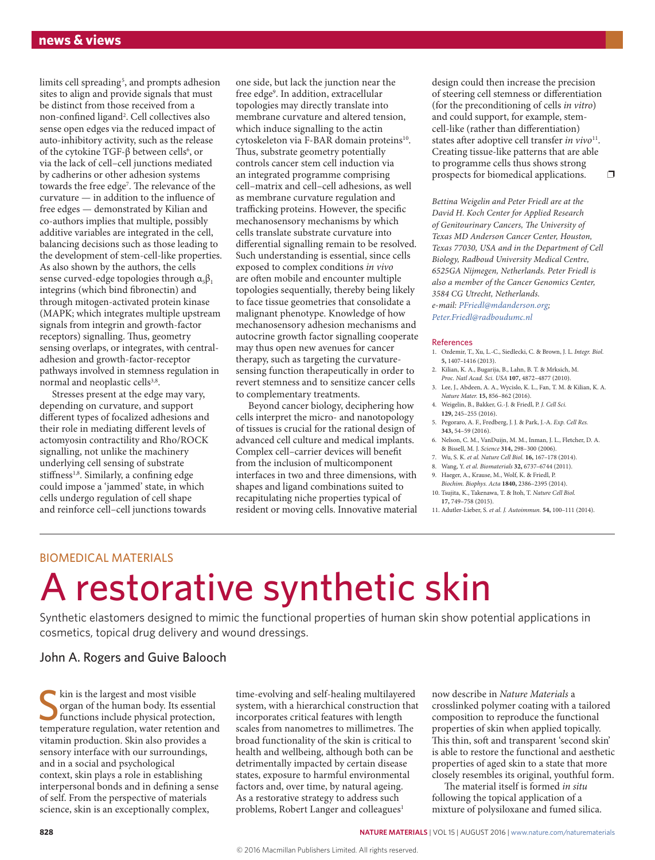limits cell spreading<sup>5</sup>, and prompts adhesion sites to align and provide signals that must be distinct from those received from a non-confined ligand2 . Cell collectives also sense open edges via the reduced impact of auto-inhibitory activity, such as the release of the cytokine TGF-β between cells<sup>6</sup>, or via the lack of cell–cell junctions mediated by cadherins or other adhesion systems towards the free edge<sup>7</sup>. The relevance of the curvature — in addition to the influence of free edges — demonstrated by Kilian and co-authors implies that multiple, possibly additive variables are integrated in the cell, balancing decisions such as those leading to the development of stem-cell-like properties. As also shown by the authors, the cells sense curved-edge topologies through  $\alpha_5\beta_1$ integrins (which bind fibronectin) and through mitogen-activated protein kinase (MAPK; which integrates multiple upstream signals from integrin and growth-factor receptors) signalling. Thus, geometry sensing overlaps, or integrates, with centraladhesion and growth-factor-receptor pathways involved in stemness regulation in normal and neoplastic cells<sup>3,8</sup>.

Stresses present at the edge may vary, depending on curvature, and support different types of focalized adhesions and their role in mediating different levels of actomyosin contractility and Rho/ROCK signalling, not unlike the machinery underlying cell sensing of substrate stiffness<sup>1,8</sup>. Similarly, a confining edge could impose a 'jammed' state, in which cells undergo regulation of cell shape and reinforce cell–cell junctions towards

one side, but lack the junction near the free edge9 . In addition, extracellular topologies may directly translate into membrane curvature and altered tension, which induce signalling to the actin cytoskeleton via F-BAR domain proteins<sup>10</sup>. Thus, substrate geometry potentially controls cancer stem cell induction via an integrated programme comprising cell–matrix and cell–cell adhesions, as well as membrane curvature regulation and trafficking proteins. However, the specific mechanosensory mechanisms by which cells translate substrate curvature into differential signalling remain to be resolved. Such understanding is essential, since cells exposed to complex conditions *in vivo* are often mobile and encounter multiple topologies sequentially, thereby being likely to face tissue geometries that consolidate a malignant phenotype. Knowledge of how mechanosensory adhesion mechanisms and autocrine growth factor signalling cooperate may thus open new avenues for cancer therapy, such as targeting the curvaturesensing function therapeutically in order to revert stemness and to sensitize cancer cells to complementary treatments.

Beyond cancer biology, deciphering how cells interpret the micro- and nanotopology of tissues is crucial for the rational design of advanced cell culture and medical implants. Complex cell–carrier devices will benefit from the inclusion of multicomponent interfaces in two and three dimensions, with shapes and ligand combinations suited to recapitulating niche properties typical of resident or moving cells. Innovative material

design could then increase the precision of steering cell stemness or differentiation (for the preconditioning of cells *in vitro*) and could support, for example, stemcell-like (rather than differentiation) states after adoptive cell transfer *in vivo*<sup>11</sup>. Creating tissue-like patterns that are able to programme cells thus shows strong prospects for biomedical applications.  $\Box$ 

*Bettina Weigelin and Peter Friedl are at the David H. Koch Center for Applied Research of Genitourinary Cancers, The University of Texas MD Anderson Cancer Center, Houston, Texas 77030, USA and in the Department of Cell Biology, Radboud University Medical Centre, 6525GA Nijmegen, Netherlands. Peter Friedl is also a member of the Cancer Genomics Center, 3584 CG Utrecht, Netherlands. e-mail: [PFriedl@mdanderson.org](mailto:PFriedl@mdanderson.org); [Peter.Friedl@radboudumc.nl](mailto:Peter.Friedl@radboudumc.nl)*

#### References

- 1. Ozdemir, T., Xu, L.-C., Siedlecki, C. & Brown, J. L. *Integr. Biol.*  **5,** 1407–1416 (2013).
- 2. Kilian, K. A., Bugarija, B., Lahn, B. T. & Mrksich, M. *Proc. Natl Acad. Sci. USA* **107,** 4872–4877 (2010).
- 3. Lee, J., Abdeen, A. A., Wycislo, K. L., Fan, T. M. & Kilian, K. A. *Nature Mater.* **15,** 856–862 (2016).
- 4. Weigelin, B., Bakker, G.-J. & Friedl, P. *J. Cell Sci.* **129,** 245–255 (2016).
- 5. Pegoraro, A. F., Fredberg, J. J. & Park, J.-A. *Exp. Cell Res.* **343,** 54–59 (2016).
- 6. Nelson, C. M., VanDuijn, M. M., Inman, J. L., Fletcher, D. A. & Bissell, M. J. *Science* **314,** 298–300 (2006).
- 7. Wu, S. K. *et al. Nature Cell Biol.* **16,** 167–178 (2014).
- 8. Wang, Y. *et al. Biomaterials* **32,** 6737–6744 (2011).
- 9. Haeger, A., Krause, M., Wolf, K. & Friedl, P. *Biochim. Biophys. Acta* **1840,** 2386–2395 (2014).
- 10. Tsujita, K., Takenawa, T. & Itoh, T. *Nature Cell Biol.* **17,** 749–758 (2015).
- 11. Adutler-Lieber, S. *et al. J. Autoimmun.* **54,** 100–111 (2014).

### BIOMEDICAL MATERIALS

# A restorative synthetic skin

Synthetic elastomers designed to mimic the functional properties of human skin show potential applications in cosmetics, topical drug delivery and wound dressings.

## John A. Rogers and Guive Balooch

 $\begin{tabular}{|c|c|} \hline \bf{kin} is the largest and most visible  
organ of the human body. Its essential  
functions include physical protection,  
temperature regulation, water retention and$ kin is the largest and most visible organ of the human body. Its essential functions include physical protection, vitamin production. Skin also provides a sensory interface with our surroundings, and in a social and psychological context, skin plays a role in establishing interpersonal bonds and in defining a sense of self. From the perspective of materials science, skin is an exceptionally complex,

time-evolving and self-healing multilayered system, with a hierarchical construction that incorporates critical features with length scales from nanometres to millimetres. The broad functionality of the skin is critical to health and wellbeing, although both can be detrimentally impacted by certain disease states, exposure to harmful environmental factors and, over time, by natural ageing. As a restorative strategy to address such problems, Robert Langer and colleagues<sup>1</sup>

now describe in *Nature Materials* a crosslinked polymer coating with a tailored composition to reproduce the functional properties of skin when applied topically. This thin, soft and transparent 'second skin' is able to restore the functional and aesthetic properties of aged skin to a state that more closely resembles its original, youthful form.

The material itself is formed *in situ*  following the topical application of a mixture of polysiloxane and fumed silica.